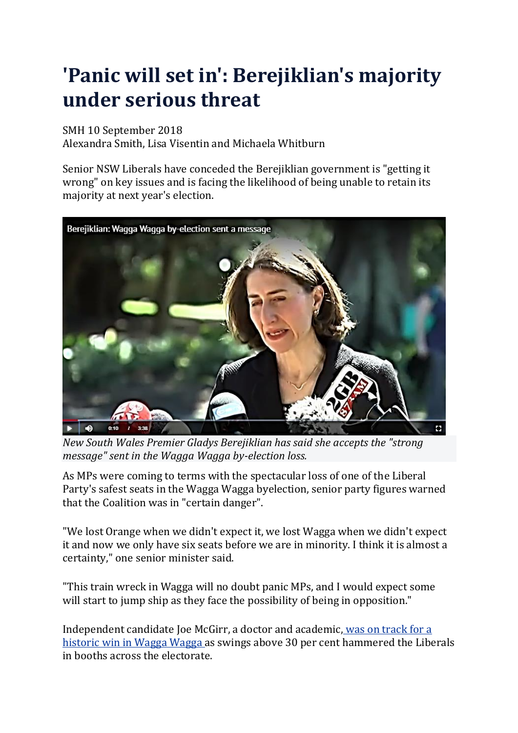## **'Panic will set in': Berejiklian's majority under serious threat**

## SMH 10 September 2018

Alexandra Smith, Lisa Visentin and Michaela Whitburn

Senior NSW Liberals have conceded the Berejiklian government is "getting it wrong" on key issues and is facing the likelihood of being unable to retain its majority at next year's election.



*New South Wales Premier Gladys Berejiklian has said she accepts the "strong message" sent in the Wagga Wagga by-election loss.*

As MPs were coming to terms with the spectacular loss of one of the Liberal Party's safest seats in the Wagga Wagga byelection, senior party figures warned that the Coalition was in "certain danger".

"We lost Orange when we didn't expect it, we lost Wagga when we didn't expect it and now we only have six seats before we are in minority. I think it is almost a certainty," one senior minister said.

"This train wreck in Wagga will no doubt panic MPs, and I would expect some will start to jump ship as they face the possibility of being in opposition."

Independent candidate Joe McGirr, a doctor and academic, was on [track](https://www.smh.com.au/politics/nsw/independent-joe-mcgirr-on-track-for-historic-wagga-win-20180908-p502kz.html) for a [historic](https://www.smh.com.au/politics/nsw/independent-joe-mcgirr-on-track-for-historic-wagga-win-20180908-p502kz.html) win in Wagga Wagga as swings above 30 per cent hammered the Liberals in booths across the electorate.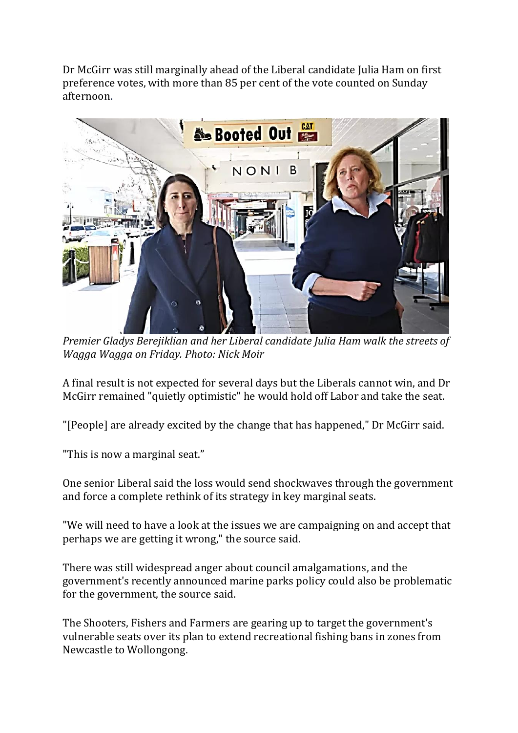Dr McGirr was still marginally ahead of the Liberal candidate Julia Ham on first preference votes, with more than 85 per cent of the vote counted on Sunday afternoon[.](javascript:void(0);)



*Premier Gladys Berejiklian and her Liberal candidate Julia Ham walk the streets of Wagga Wagga on Friday. Photo: Nick Moir*

A final result is not expected for several days but the Liberals cannot win, and Dr McGirr remained "quietly optimistic" he would hold off Labor and take the seat.

"[People] are already excited by the change that has happened," Dr McGirr said.

"This is now a marginal seat."

One senior Liberal said the loss would send shockwaves through the government and force a complete rethink of its strategy in key marginal seats.

"We will need to have a look at the issues we are campaigning on and accept that perhaps we are getting it wrong," the source said.

There was still widespread anger about council amalgamations, and the government's recently announced marine parks policy could also be problematic for the government, the source said.

The Shooters, Fishers and Farmers are gearing up to target the government's vulnerable seats over its plan to extend recreational fishing bans in zones from Newcastle to Wollongong.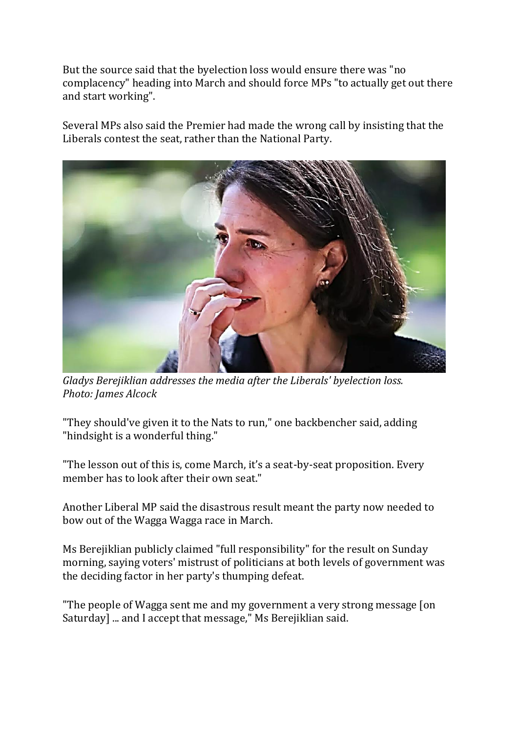But the source said that the byelection loss would ensure there was "no complacency" heading into March and should force MPs "to actually get out there and start working".

Several MPs also said the Premier had made the wrong call by insisting that the Liberals contest the seat, rather than the National Party[.](javascript:void(0);)



*Gladys Berejiklian addresses the media after the Liberals' byelection loss. Photo: James Alcock*

"They should've given it to the Nats to run," one backbencher said, adding "hindsight is a wonderful thing."

"The lesson out of this is, come March, it's a seat-by-seat proposition. Every member has to look after their own seat."

Another Liberal MP said the disastrous result meant the party now needed to bow out of the Wagga Wagga race in March.

Ms Berejiklian publicly claimed "full responsibility" for the result on Sunday morning, saying voters' mistrust of politicians at both levels of government was the deciding factor in her party's thumping defeat.

"The people of Wagga sent me and my government a very strong message [on Saturday] ... and I accept that message," Ms Berejiklian said.